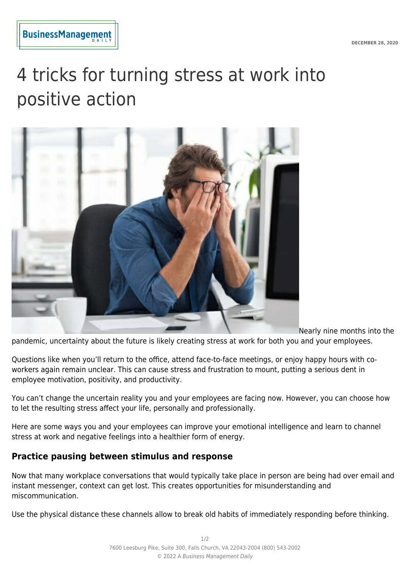

# 4 tricks for turning stress at work into positive action



Nearly nine months into the pandemic, uncertainty about the future is likely creating stress at work for both you and your employees.

Questions like when you'll return to the office, attend face-to-face meetings, or enjoy happy hours with coworkers again remain unclear. This can cause stress and frustration to mount, putting a serious dent in employee motivation, positivity, and productivity.

You can't change the uncertain reality you and your employees are facing now. However, you can choose how to let the resulting stress affect your life, personally and professionally.

Here are some ways you and your employees can improve your emotional intelligence and learn to channel stress at work and negative feelings into a healthier form of energy.

## **Practice pausing between stimulus and response**

Now that many workplace conversations that would typically take place in person are being had over email and instant messenger, context can get lost. This creates opportunities for misunderstanding and miscommunication.

Use the physical distance these channels allow to break old habits of immediately responding before thinking.